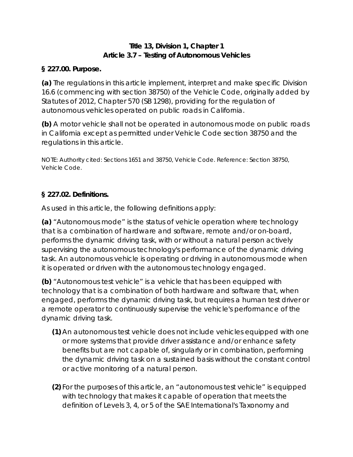## **Title 13, Division 1, Chapter 1 Article 3.7 – Testing of Autonomous Vehicles**

#### **§ 227.00. Purpose.**

**(a)** The regulations in this article implement, interpret and make specific Division 16.6 (commencing with section 38750) of the Vehicle Code, originally added by Statutes of 2012, Chapter 570 (SB 1298), providing for the regulation of autonomous vehicles operated on public roads in California.

**(b)** A motor vehicle shall not be operated in autonomous mode on public roads in California except as permitted under Vehicle Code section 38750 and the regulations in this article.

NOTE: Authority cited: Sections 1651 and 38750, Vehicle Code. Reference: Section 38750, Vehicle Code.

## **§ 227.02. Definitions.**

As used in this article, the following definitions apply:

**(a)** "Autonomous mode" is the status of vehicle operation where technology that is a combination of hardware and software, remote and/or on-board, performs the dynamic driving task, with or without a natural person actively supervising the autonomous technology's performance of the dynamic driving task. An autonomous vehicle is operating or driving in autonomous mode when it is operated or driven with the autonomous technology engaged.

**(b)** "Autonomous test vehicle" is a vehicle that has been equipped with technology that is a combination of both hardware and software that, when engaged, performs the dynamic driving task, but requires a human test driver or a remote operator to continuously supervise the vehicle's performance of the dynamic driving task.

- **(1)** An autonomous test vehicle does not include vehicles equipped with one or more systems that provide driver assistance and/or enhance safety benefits but are not capable of, singularly or in combination, performing the dynamic driving task on a sustained basis without the constant control or active monitoring of a natural person.
- **(2)** For the purposes of this article, an "autonomous test vehicle" is equipped with technology that makes it capable of operation that meets the definition of Levels 3, 4, or 5 of the SAE International's *Taxonomy and*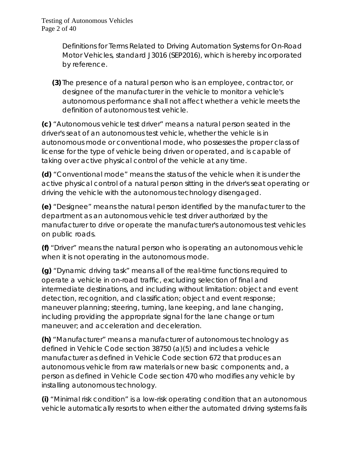*Definitions for Terms Related to Driving Automation Systems for On-Road Motor Vehicles, standard J3016 (SEP2016)*, which is hereby incorporated by reference.

**(3)** The presence of a natural person who is an employee, contractor, or designee of the manufacturer in the vehicle to monitor a vehicle's autonomous performance shall not affect whether a vehicle meets the definition of autonomous test vehicle.

**(c)** "Autonomous vehicle test driver" means a natural person seated in the driver's seat of an autonomous test vehicle, whether the vehicle is in autonomous mode or conventional mode, who possesses the proper class of license for the type of vehicle being driven or operated, and is capable of taking over active physical control of the vehicle at any time.

**(d)** "Conventional mode" means the status of the vehicle when it is under the active physical control of a natural person sitting in the driver's seat operating or driving the vehicle with the autonomous technology disengaged.

**(e)** "Designee" means the natural person identified by the manufacturer to the department as an autonomous vehicle test driver authorized by the manufacturer to drive or operate the manufacturer's autonomous test vehicles on public roads.

**(f)** "Driver" means the natural person who is operating an autonomous vehicle when it is not operating in the autonomous mode.

**(g)** "Dynamic driving task" means all of the real-time functions required to operate a vehicle in on-road traffic, excluding selection of final and intermediate destinations, and including without limitation: object and event detection, recognition, and classification; object and event response; maneuver planning; steering, turning, lane keeping, and lane changing, including providing the appropriate signal for the lane change or turn maneuver; and acceleration and deceleration.

**(h)** "Manufacturer" means a manufacturer of autonomous technology as defined in Vehicle Code section 38750 (a)(5) and includes a vehicle manufacturer as defined in Vehicle Code section 672 that produces an autonomous vehicle from raw materials or new basic components; and, a person as defined in Vehicle Code section 470 who modifies any vehicle by installing autonomous technology.

**(i)** "Minimal risk condition" is a low-risk operating condition that an autonomous vehicle automatically resorts to when either the automated driving systems fails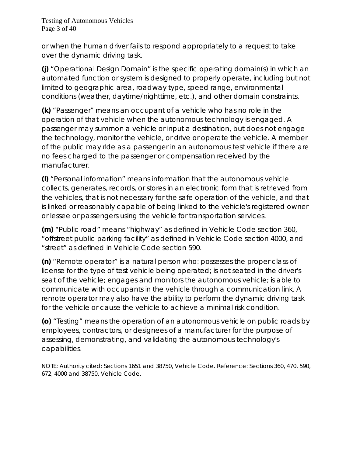or when the human driver fails to respond appropriately to a request to take over the dynamic driving task.

**(j)** "Operational Design Domain" is the specific operating domain(s) in which an automated function or system is designed to properly operate, including but not limited to geographic area, roadway type, speed range, environmental conditions (weather, daytime/nighttime, etc.), and other domain constraints.

**(k)** "Passenger" means an occupant of a vehicle who has no role in the operation of that vehicle when the autonomous technology is engaged. A passenger may summon a vehicle or input a destination, but does not engage the technology, monitor the vehicle, or drive or operate the vehicle. A member of the public may ride as a passenger in an autonomous test vehicle if there are no fees charged to the passenger or compensation received by the manufacturer.

**(l)** "Personal information" means information that the autonomous vehicle collects, generates, records, or stores in an electronic form that is retrieved from the vehicles, that is not necessary for the safe operation of the vehicle, and that is linked or reasonably capable of being linked to the vehicle's registered owner or lessee or passengers using the vehicle for transportation services.

**(m)** "Public road" means "highway" as defined in Vehicle Code section 360, "offstreet public parking facility" as defined in Vehicle Code section 4000, and "street" as defined in Vehicle Code section 590.

**(n)** "Remote operator" is a natural person who: possesses the proper class of license for the type of test vehicle being operated; is not seated in the driver's seat of the vehicle; engages and monitors the autonomous vehicle; is able to communicate with occupants in the vehicle through a communication link. A remote operator may also have the ability to perform the dynamic driving task for the vehicle or cause the vehicle to achieve a minimal risk condition.

**(o)** "Testing" means the operation of an autonomous vehicle on public roads by employees, contractors, or designees of a manufacturer for the purpose of assessing, demonstrating, and validating the autonomous technology's capabilities.

NOTE: Authority cited: Sections 1651 and 38750, Vehicle Code. Reference: Sections 360, 470, 590, 672, 4000 and 38750, Vehicle Code.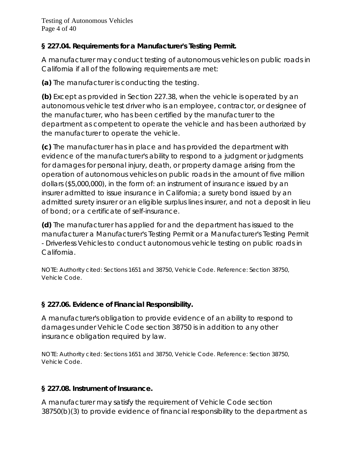## **§ 227.04. Requirements for a Manufacturer's Testing Permit.**

A manufacturer may conduct testing of autonomous vehicles on public roads in California if all of the following requirements are met:

**(a)** The manufacturer is conducting the testing.

**(b)** Except as provided in Section 227.38, when the vehicle is operated by an autonomous vehicle test driver who is an employee, contractor, or designee of the manufacturer, who has been certified by the manufacturer to the department as competent to operate the vehicle and has been authorized by the manufacturer to operate the vehicle.

**(c)** The manufacturer has in place and has provided the department with evidence of the manufacturer's ability to respond to a judgment or judgments for damages for personal injury, death, or property damage arising from the operation of autonomous vehicles on public roads in the amount of five million dollars (\$5,000,000), in the form of: an instrument of insurance issued by an insurer admitted to issue insurance in California; a surety bond issued by an admitted surety insurer or an eligible surplus lines insurer, and not a deposit in lieu of bond; or a certificate of self-insurance.

**(d)** The manufacturer has applied for and the department has issued to the manufacturer a Manufacturer's Testing Permit or a Manufacturer's Testing Permit - Driverless Vehicles to conduct autonomous vehicle testing on public roads in California.

NOTE: Authority cited: Sections 1651 and 38750, Vehicle Code. Reference: Section 38750, Vehicle Code.

# **§ 227.06. Evidence of Financial Responsibility.**

A manufacturer's obligation to provide evidence of an ability to respond to damages under Vehicle Code section 38750 is in addition to any other insurance obligation required by law.

NOTE: Authority cited: Sections 1651 and 38750, Vehicle Code. Reference: Section 38750, Vehicle Code.

## **§ 227.08. Instrument of Insurance.**

A manufacturer may satisfy the requirement of Vehicle Code section 38750(b)(3) to provide evidence of financial responsibility to the department as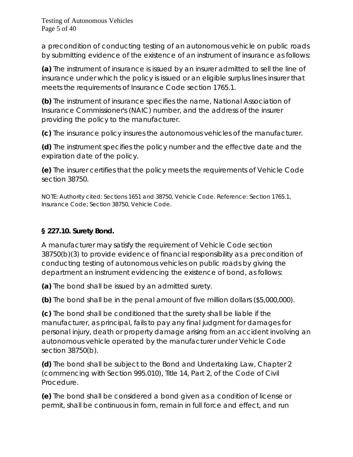a precondition of conducting testing of an autonomous vehicle on public roads by submitting evidence of the existence of an instrument of insurance as follows:

**(a)** The instrument of insurance is issued by an insurer admitted to sell the line of insurance under which the policy is issued or an eligible surplus lines insurer that meets the requirements of Insurance Code section 1765.1.

**(b)** The instrument of insurance specifies the name, National Association of Insurance Commissioner's (NAIC) number, and the address of the insurer providing the policy to the manufacturer.

**(c)** The insurance policy insures the autonomous vehicles of the manufacturer.

**(d)** The instrument specifies the policy number and the effective date and the expiration date of the policy.

**(e)** The insurer certifies that the policy meets the requirements of Vehicle Code section 38750.

NOTE: Authority cited: Sections 1651 and 38750, Vehicle Code. Reference: Section 1765.1, Insurance Code; Section 38750, Vehicle Code.

# **§ 227.10. Surety Bond.**

A manufacturer may satisfy the requirement of Vehicle Code section 38750(b)(3) to provide evidence of financial responsibility as a precondition of conducting testing of autonomous vehicles on public roads by giving the department an instrument evidencing the existence of bond, as follows:

**(a)** The bond shall be issued by an admitted surety.

**(b)** The bond shall be in the penal amount of five million dollars (\$5,000,000).

**(c)** The bond shall be conditioned that the surety shall be liable if the manufacturer, as principal, fails to pay any final judgment for damages for personal injury, death or property damage arising from an accident involving an autonomous vehicle operated by the manufacturer under Vehicle Code section 38750(b).

**(d)** The bond shall be subject to the Bond and Undertaking Law, Chapter 2 (commencing with Section 995.010), Title 14, Part 2, of the Code of Civil Procedure.

**(e)** The bond shall be considered a bond given as a condition of license or permit, shall be continuous in form, remain in full force and effect, and run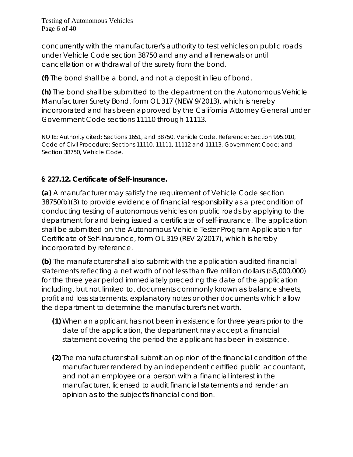Testing of Autonomous Vehicles Page 6 of 40

concurrently with the manufacturer's authority to test vehicles on public roads under Vehicle Code section 38750 and any and all renewals or until cancellation or withdrawal of the surety from the bond.

**(f)** The bond shall be a bond, and not a deposit in lieu of bond.

**(h)** The bond shall be submitted to the department on the Autonomous Vehicle Manufacturer Surety Bond, form OL 317 (NEW 9/2013), which is hereby incorporated and has been approved by the California Attorney General under Government Code sections 11110 through 11113.

NOTE: Authority cited: Sections 1651, and 38750, Vehicle Code. Reference: Section 995.010, Code of Civil Procedure; Sections 11110, 11111, 11112 and 11113, Government Code; and Section 38750, Vehicle Code.

## **§ 227.12. Certificate of Self-Insurance.**

**(a)** A manufacturer may satisfy the requirement of Vehicle Code section 38750(b)(3) to provide evidence of financial responsibility as a precondition of conducting testing of autonomous vehicles on public roads by applying to the department for and being issued a certificate of self-insurance. The application shall be submitted on the Autonomous Vehicle Tester Program Application for Certificate of Self-Insurance, form OL 319 (REV 2/2017), which is hereby incorporated by reference.

**(b)** The manufacturer shall also submit with the application audited financial statements reflecting a net worth of not less than five million dollars (\$5,000,000) for the three year period immediately preceding the date of the application including, but not limited to, documents commonly known as balance sheets, profit and loss statements, explanatory notes or other documents which allow the department to determine the manufacturer's net worth.

- **(1)** When an applicant has not been in existence for three years prior to the date of the application, the department may accept a financial statement covering the period the applicant has been in existence.
- **(2)** The manufacturer shall submit an opinion of the financial condition of the manufacturer rendered by an independent certified public accountant, and not an employee or a person with a financial interest in the manufacturer, licensed to audit financial statements and render an opinion as to the subject's financial condition.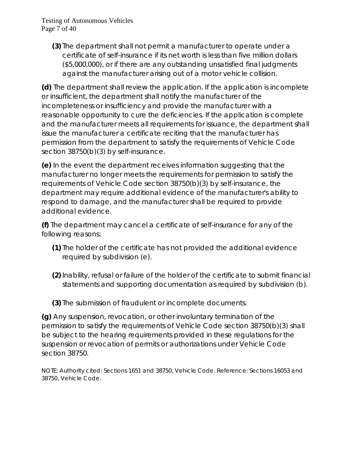**(3)** The department shall not permit a manufacturer to operate under a certificate of self-insurance if its net worth is less than five million dollars (\$5,000,000), or if there are any outstanding unsatisfied final judgments against the manufacturer arising out of a motor vehicle collision.

**(d)** The department shall review the application. If the application is incomplete or insufficient, the department shall notify the manufacturer of the incompleteness or insufficiency and provide the manufacturer with a reasonable opportunity to cure the deficiencies. If the application is complete and the manufacturer meets all requirements for issuance, the department shall issue the manufacturer a certificate reciting that the manufacturer has permission from the department to satisfy the requirements of Vehicle Code section 38750(b)(3) by self-insurance.

**(e)** In the event the department receives information suggesting that the manufacturer no longer meets the requirements for permission to satisfy the requirements of Vehicle Code section 38750(b)(3) by self-insurance, the department may require additional evidence of the manufacturer's ability to respond to damage, and the manufacturer shall be required to provide additional evidence.

**(f)** The department may cancel a certificate of self-insurance for any of the following reasons:

- **(1)** The holder of the certificate has not provided the additional evidence required by subdivision (e).
- **(2)**Inability, refusal or failure of the holder of the certificate to submit financial statements and supporting documentation as required by subdivision (b).
- **(3)** The submission of fraudulent or incomplete documents.

**(g)** Any suspension, revocation, or other involuntary termination of the permission to satisfy the requirements of Vehicle Code section 38750(b)(3) shall be subject to the hearing requirements provided in these regulations for the suspension or revocation of permits or authorizations under Vehicle Code section 38750.

NOTE: Authority cited: Sections 1651 and 38750, Vehicle Code. Reference: Sections 16053 and 38750, Vehicle Code.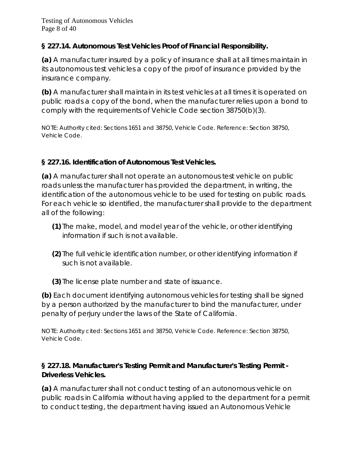## **§ 227.14. Autonomous Test Vehicles Proof of Financial Responsibility.**

**(a)** A manufacturer insured by a policy of insurance shall at all times maintain in its autonomous test vehicles a copy of the proof of insurance provided by the insurance company.

**(b)** A manufacturer shall maintain in its test vehicles at all times it is operated on public roads a copy of the bond, when the manufacturer relies upon a bond to comply with the requirements of Vehicle Code section 38750(b)(3).

NOTE: Authority cited: Sections 1651 and 38750, Vehicle Code. Reference: Section 38750, Vehicle Code.

## **§ 227.16. Identification of Autonomous Test Vehicles.**

**(a)** A manufacturer shall not operate an autonomous test vehicle on public roads unless the manufacturer has provided the department, in writing, the identification of the autonomous vehicle to be used for testing on public roads. For each vehicle so identified, the manufacturer shall provide to the department all of the following:

- **(1)** The make, model, and model year of the vehicle, or other identifying information if such is not available.
- **(2)** The full vehicle identification number, or other identifying information if such is not available.
- **(3)** The license plate number and state of issuance.

**(b)** Each document identifying autonomous vehicles for testing shall be signed by a person authorized by the manufacturer to bind the manufacturer, under penalty of perjury under the laws of the State of California.

NOTE: Authority cited: Sections 1651 and 38750, Vehicle Code. Reference: Section 38750, Vehicle Code.

## **§ 227.18. Manufacturer's Testing Permit and Manufacturer's Testing Permit - Driverless Vehicles.**

**(a)** A manufacturer shall not conduct testing of an autonomous vehicle on public roads in California without having applied to the department for a permit to conduct testing, the department having issued an Autonomous Vehicle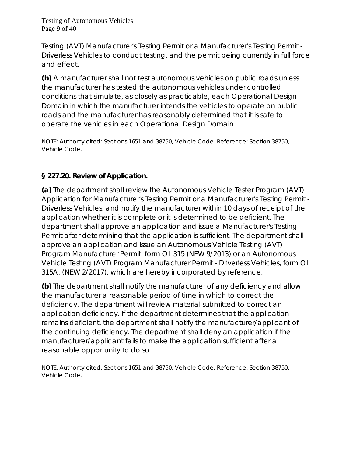Testing of Autonomous Vehicles Page 9 of 40

Testing (AVT) Manufacturer's Testing Permit or a Manufacturer's Testing Permit - Driverless Vehicles to conduct testing, and the permit being currently in full force and effect.

**(b)** A manufacturer shall not test autonomous vehicles on public roads unless the manufacturer has tested the autonomous vehicles under controlled conditions that simulate, as closely as practicable, each Operational Design Domain in which the manufacturer intends the vehicles to operate on public roads and the manufacturer has reasonably determined that it is safe to operate the vehicles in each Operational Design Domain.

NOTE: Authority cited: Sections 1651 and 38750, Vehicle Code. Reference: Section 38750, Vehicle Code.

#### **§ 227.20. Review of Application.**

**(a)** The department shall review the Autonomous Vehicle Tester Program (AVT) Application for Manufacturer's Testing Permit or a Manufacturer's Testing Permit - Driverless Vehicles, and notify the manufacturer within 10 days of receipt of the application whether it is complete or it is determined to be deficient. The department shall approve an application and issue a Manufacturer's Testing Permit after determining that the application is sufficient. The department shall approve an application and issue an Autonomous Vehicle Testing (AVT) Program Manufacturer Permit, form OL 315 (NEW 9/2013) or an Autonomous Vehicle Testing (AVT) Program Manufacturer Permit - Driverless Vehicles, form OL 315A, (NEW 2/2017), which are hereby incorporated by reference.

**(b)** The department shall notify the manufacturer of any deficiency and allow the manufacturer a reasonable period of time in which to correct the deficiency. The department will review material submitted to correct an application deficiency. If the department determines that the application remains deficient, the department shall notify the manufacturer/applicant of the continuing deficiency. The department shall deny an application if the manufacturer/applicant fails to make the application sufficient after a reasonable opportunity to do so.

NOTE: Authority cited: Sections 1651 and 38750, Vehicle Code. Reference: Section 38750, Vehicle Code.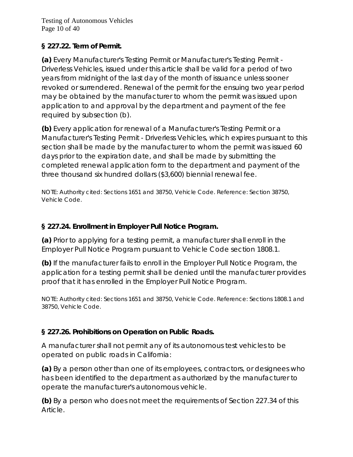Testing of Autonomous Vehicles Page 10 of 40

## **§ 227.22. Term of Permit.**

**(a)** Every Manufacturer's Testing Permit or Manufacturer's Testing Permit - Driverless Vehicles, issued under this article shall be valid for a period of two years from midnight of the last day of the month of issuance unless sooner revoked or surrendered. Renewal of the permit for the ensuing two year period may be obtained by the manufacturer to whom the permit was issued upon application to and approval by the department and payment of the fee required by subsection (b).

**(b)** Every application for renewal of a Manufacturer's Testing Permit or a Manufacturer's Testing Permit - Driverless Vehicles, which expires pursuant to this section shall be made by the manufacturer to whom the permit was issued 60 days prior to the expiration date, and shall be made by submitting the completed renewal application form to the department and payment of the three thousand six hundred dollars (\$3,600) biennial renewal fee.

NOTE: Authority cited: Sections 1651 and 38750, Vehicle Code. Reference: Section 38750, Vehicle Code.

## **§ 227.24. Enrollment in Employer Pull Notice Program.**

**(a)** Prior to applying for a testing permit, a manufacturer shall enroll in the Employer Pull Notice Program pursuant to Vehicle Code section 1808.1.

**(b)** If the manufacturer fails to enroll in the Employer Pull Notice Program, the application for a testing permit shall be denied until the manufacturer provides proof that it has enrolled in the Employer Pull Notice Program.

NOTE: Authority cited: Sections 1651 and 38750, Vehicle Code. Reference: Sections 1808.1 and 38750, Vehicle Code.

## **§ 227.26. Prohibitions on Operation on Public Roads.**

A manufacturer shall not permit any of its autonomous test vehicles to be operated on public roads in California:

**(a)** By a person other than one of its employees, contractors, or designees who has been identified to the department as authorized by the manufacturer to operate the manufacturer's autonomous vehicle.

**(b)** By a person who does not meet the requirements of Section 227.34 of this Article.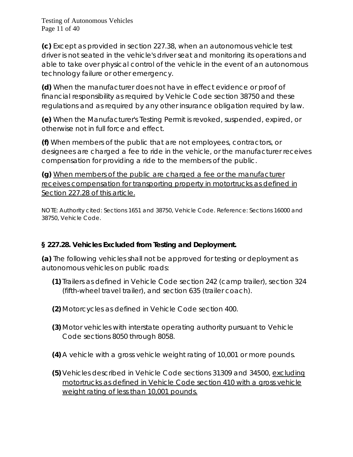Testing of Autonomous Vehicles Page 11 of 40

**(c)** Except as provided in section 227.38, when an autonomous vehicle test driver is not seated in the vehicle's driver seat and monitoring its operations and able to take over physical control of the vehicle in the event of an autonomous technology failure or other emergency.

**(d)** When the manufacturer does not have in effect evidence or proof of financial responsibility as required by Vehicle Code section 38750 and these regulations and as required by any other insurance obligation required by law.

**(e)** When the Manufacturer's Testing Permit is revoked, suspended, expired, or otherwise not in full force and effect.

**(f)** When members of the public that are not employees, contractors, or designees are charged a fee to ride in the vehicle, or the manufacturer receives compensation for providing a ride to the members of the public.

**(g)** When members of the public are charged a fee or the manufacturer receives compensation for transporting property in motortrucks as defined in Section 227.28 of this article.

NOTE: Authority cited: Sections 1651 and 38750, Vehicle Code. Reference: Sections 16000 and 38750, Vehicle Code.

## **§ 227.28. Vehicles Excluded from Testing and Deployment.**

**(a)** The following vehicles shall not be approved for testing or deployment as autonomous vehicles on public roads:

- **(1)** Trailers as defined in Vehicle Code section 242 (camp trailer), section 324 (fifth-wheel travel trailer), and section 635 (trailer coach).
- **(2)** Motorcycles as defined in Vehicle Code section 400.
- **(3)** Motor vehicles with interstate operating authority pursuant to Vehicle Code sections 8050 through 8058.
- **(4)** A vehicle with a gross vehicle weight rating of 10,001 or more pounds.
- **(5)** Vehicles described in Vehicle Code sections 31309 and 34500, excluding motortrucks as defined in Vehicle Code section 410 with a gross vehicle weight rating of less than 10,001 pounds.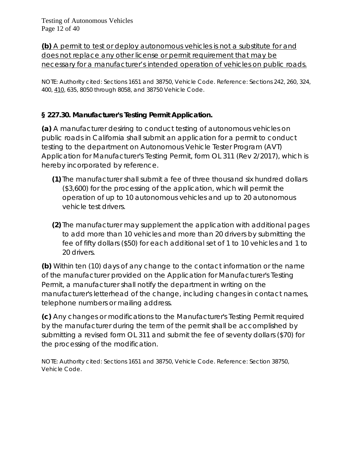**(b)** A permit to test or deploy autonomous vehicles is not a substitute for and does not replace any other license or permit requirement that may be necessary for a manufacturer's intended operation of vehicles on public roads.

NOTE: Authority cited: Sections 1651 and 38750, Vehicle Code. Reference: Sections 242, 260, 324, 400, 410, 635, 8050 through 8058, and 38750 Vehicle Code.

# **§ 227.30. Manufacturer's Testing Permit Application.**

**(a)** A manufacturer desiring to conduct testing of autonomous vehicles on public roads in California shall submit an application for a permit to conduct testing to the department on Autonomous Vehicle Tester Program (AVT) Application for Manufacturer's Testing Permit, form OL 311 (Rev 2/2017), which is hereby incorporated by reference.

- **(1)** The manufacturer shall submit a fee of three thousand six hundred dollars (\$3,600) for the processing of the application, which will permit the operation of up to 10 autonomous vehicles and up to 20 autonomous vehicle test drivers.
- **(2)** The manufacturer may supplement the application with additional pages to add more than 10 vehicles and more than 20 drivers by submitting the fee of fifty dollars (\$50) for each additional set of 1 to 10 vehicles and 1 to 20 drivers.

**(b)** Within ten (10) days of any change to the contact information or the name of the manufacturer provided on the Application for Manufacturer's Testing Permit, a manufacturer shall notify the department in writing on the manufacturer's letterhead of the change, including changes in contact names, telephone numbers or mailing address.

**(c)** Any changes or modifications to the Manufacturer's Testing Permit required by the manufacturer during the term of the permit shall be accomplished by submitting a revised form OL 311 and submit the fee of seventy dollars (\$70) for the processing of the modification.

NOTE: Authority cited: Sections 1651 and 38750, Vehicle Code. Reference: Section 38750, Vehicle Code.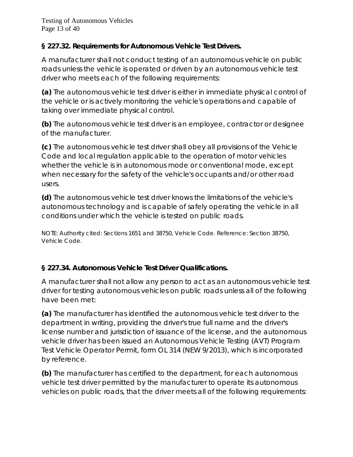## **§ 227.32. Requirements for Autonomous Vehicle Test Drivers.**

A manufacturer shall not conduct testing of an autonomous vehicle on public roads unless the vehicle is operated or driven by an autonomous vehicle test driver who meets each of the following requirements:

**(a)** The autonomous vehicle test driver is either in immediate physical control of the vehicle or is actively monitoring the vehicle's operations and capable of taking over immediate physical control.

**(b)** The autonomous vehicle test driver is an employee, contractor or designee of the manufacturer.

**(c)** The autonomous vehicle test driver shall obey all provisions of the Vehicle Code and local regulation applicable to the operation of motor vehicles whether the vehicle is in autonomous mode or conventional mode, except when necessary for the safety of the vehicle's occupants and/or other road users.

**(d)** The autonomous vehicle test driver knows the limitations of the vehicle's autonomous technology and is capable of safely operating the vehicle in all conditions under which the vehicle is tested on public roads.

NOTE: Authority cited: Sections 1651 and 38750, Vehicle Code. Reference: Section 38750, Vehicle Code.

# **§ 227.34. Autonomous Vehicle Test Driver Qualifications.**

A manufacturer shall not allow any person to act as an autonomous vehicle test driver for testing autonomous vehicles on public roads unless all of the following have been met:

**(a)** The manufacturer has identified the autonomous vehicle test driver to the department in writing, providing the driver's true full name and the driver's license number and jurisdiction of issuance of the license, and the autonomous vehicle driver has been issued an Autonomous Vehicle Testing (AVT) Program Test Vehicle Operator Permit, form OL 314 (NEW 9/2013), which is incorporated by reference.

**(b)** The manufacturer has certified to the department, for each autonomous vehicle test driver permitted by the manufacturer to operate its autonomous vehicles on public roads, that the driver meets all of the following requirements: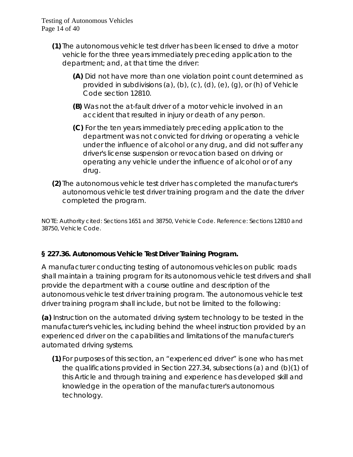- **(1)** The autonomous vehicle test driver has been licensed to drive a motor vehicle for the three years immediately preceding application to the department; and, at that time the driver:
	- **(A)** Did not have more than one violation point count determined as provided in subdivisions (a), (b), (c), (d), (e), (g), or (h) of Vehicle Code section 12810.
	- **(B)** Was not the at-fault driver of a motor vehicle involved in an accident that resulted in injury or death of any person.
	- **(C)** For the ten years immediately preceding application to the department was not convicted for driving or operating a vehicle under the influence of alcohol or any drug, and did not suffer any driver's license suspension or revocation based on driving or operating any vehicle under the influence of alcohol or of any drug.
- **(2)** The autonomous vehicle test driver has completed the manufacturer's autonomous vehicle test driver training program and the date the driver completed the program.

NOTE: Authority cited: Sections 1651 and 38750, Vehicle Code. Reference: Sections 12810 and 38750, Vehicle Code.

# **§ 227.36. Autonomous Vehicle Test Driver Training Program.**

A manufacturer conducting testing of autonomous vehicles on public roads shall maintain a training program for its autonomous vehicle test drivers and shall provide the department with a course outline and description of the autonomous vehicle test driver training program. The autonomous vehicle test driver training program shall include, but not be limited to the following:

**(a)** Instruction on the automated driving system technology to be tested in the manufacturer's vehicles, including behind the wheel instruction provided by an experienced driver on the capabilities and limitations of the manufacturer's automated driving systems.

**(1)** For purposes of this section, an "experienced driver" is one who has met the qualifications provided in Section 227.34, subsections (a) and (b)(1) of this Article and through training and experience has developed skill and knowledge in the operation of the manufacturer's autonomous technology.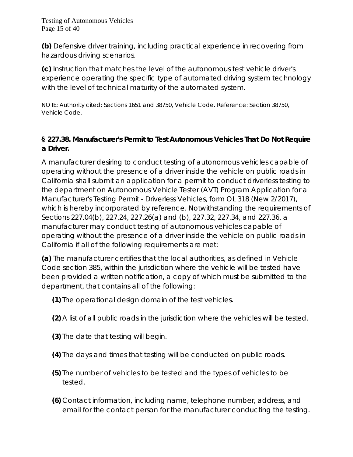**(b)** Defensive driver training, including practical experience in recovering from hazardous driving scenarios.

**(c)** Instruction that matches the level of the autonomous test vehicle driver's experience operating the specific type of automated driving system technology with the level of technical maturity of the automated system.

NOTE: Authority cited: Sections 1651 and 38750, Vehicle Code. Reference: Section 38750, Vehicle Code.

## **§ 227.38. Manufacturer's Permit to Test Autonomous Vehicles That Do Not Require a Driver.**

A manufacturer desiring to conduct testing of autonomous vehicles capable of operating without the presence of a driver inside the vehicle on public roads in California shall submit an application for a permit to conduct driverless testing to the department on Autonomous Vehicle Tester (AVT) Program Application for a Manufacturer's Testing Permit - Driverless Vehicles, form OL 318 (New 2/2017), which is hereby incorporated by reference. Notwithstanding the requirements of Sections 227.04(b), 227.24, 227.26(a) and (b), 227.32, 227.34, and 227.36, a manufacturer may conduct testing of autonomous vehicles capable of operating without the presence of a driver inside the vehicle on public roads in California if all of the following requirements are met:

**(a)** The manufacturer certifies that the local authorities, as defined in Vehicle Code section 385, within the jurisdiction where the vehicle will be tested have been provided a written notification, a copy of which must be submitted to the department, that contains all of the following:

**(1)** The operational design domain of the test vehicles.

- **(2)** A list of all public roads in the jurisdiction where the vehicles will be tested.
- **(3)** The date that testing will begin.
- **(4)** The days and times that testing will be conducted on public roads.
- **(5)** The number of vehicles to be tested and the types of vehicles to be tested.
- **(6)** Contact information, including name, telephone number, address, and email for the contact person for the manufacturer conducting the testing.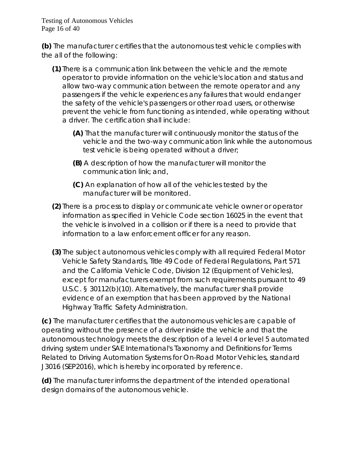Testing of Autonomous Vehicles Page 16 of 40

**(b)** The manufacturer certifies that the autonomous test vehicle complies with the all of the following:

- **(1)** There is a communication link between the vehicle and the remote operator to provide information on the vehicle's location and status and allow two-way communication between the remote operator and any passengers if the vehicle experiences any failures that would endanger the safety of the vehicle's passengers or other road users, or otherwise prevent the vehicle from functioning as intended, while operating without a driver. The certification shall include:
	- **(A)** That the manufacturer will continuously monitor the status of the vehicle and the two-way communication link while the autonomous test vehicle is being operated without a driver;
	- **(B)** A description of how the manufacturer will monitor the communication link; and,
	- **(C)** An explanation of how all of the vehicles tested by the manufacturer will be monitored.
- **(2)** There is a process to display or communicate vehicle owner or operator information as specified in Vehicle Code section 16025 in the event that the vehicle is involved in a collision or if there is a need to provide that information to a law enforcement officer for any reason.
- **(3)** The subject autonomous vehicles comply with all required Federal Motor Vehicle Safety Standards, Title 49 Code of Federal Regulations, Part 571 and the California Vehicle Code, Division 12 (Equipment of Vehicles), except for manufacturers exempt from such requirements pursuant to 49 U.S.C. § 30112(b)(10). Alternatively, the manufacturer shall provide evidence of an exemption that has been approved by the National Highway Traffic Safety Administration.

**(c)** The manufacturer certifies that the autonomous vehicles are capable of operating without the presence of a driver inside the vehicle and that the autonomous technology meets the description of a level 4 or level 5 automated driving system under SAE International's *Taxonomy and Definitions for Terms Related to Driving Automation Systems for On-Road Motor Vehicles*, standard J3016 (SEP2016), which is hereby incorporated by reference.

**(d)** The manufacturer informs the department of the intended operational design domains of the autonomous vehicle.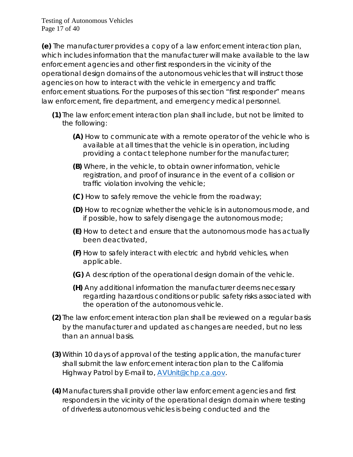Testing of Autonomous Vehicles Page 17 of 40

**(e)** The manufacturer provides a copy of a law enforcement interaction plan, which includes information that the manufacturer will make available to the law enforcement agencies and other first responders in the vicinity of the operational design domains of the autonomous vehicles that will instruct those agencies on how to interact with the vehicle in emergency and traffic enforcement situations. For the purposes of this section "first responder" means law enforcement, fire department, and emergency medical personnel.

- **(1)** The law enforcement interaction plan shall include, but not be limited to the following:
	- **(A)** How to communicate with a remote operator of the vehicle who is available at all times that the vehicle is in operation, including providing a contact telephone number for the manufacturer;
	- **(B)** Where, in the vehicle, to obtain owner information, vehicle registration, and proof of insurance in the event of a collision or traffic violation involving the vehicle;
	- **(C)** How to safely remove the vehicle from the roadway;
	- **(D)** How to recognize whether the vehicle is in autonomous mode, and if possible, how to safely disengage the autonomous mode;
	- **(E)** How to detect and ensure that the autonomous mode has actually been deactivated,
	- **(F)** How to safely interact with electric and hybrid vehicles, when applicable.
	- **(G)** A description of the operational design domain of the vehicle.
	- **(H)** Any additional information the manufacturer deems necessary regarding hazardous conditions or public safety risks associated with the operation of the autonomous vehicle.
- **(2)** The law enforcement interaction plan shall be reviewed on a regular basis by the manufacturer and updated as changes are needed, but no less than an annual basis.
- **(3)** Within 10 days of approval of the testing application, the manufacturer shall submit the law enforcement interaction plan to the California Highway Patrol by E-mail to, **AVUnit@chp.ca.gov.**
- **(4)** Manufacturers shall provide other law enforcement agencies and first responders in the vicinity of the operational design domain where testing of driverless autonomous vehicles is being conducted and the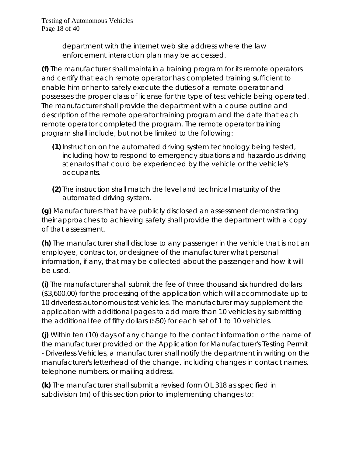Testing of Autonomous Vehicles Page 18 of 40

> department with the internet web site address where the law enforcement interaction plan may be accessed.

**(f)** The manufacturer shall maintain a training program for its remote operators and certify that each remote operator has completed training sufficient to enable him or her to safely execute the duties of a remote operator and possesses the proper class of license for the type of test vehicle being operated. The manufacturer shall provide the department with a course outline and description of the remote operator training program and the date that each remote operator completed the program. The remote operator training program shall include, but not be limited to the following:

- **(1)**Instruction on the automated driving system technology being tested, including how to respond to emergency situations and hazardous driving scenarios that could be experienced by the vehicle or the vehicle's occupants.
- **(2)** The instruction shall match the level and technical maturity of the automated driving system.

**(g)** Manufacturers that have publicly disclosed an assessment demonstrating their approaches to achieving safety shall provide the department with a copy of that assessment.

**(h)** The manufacturer shall disclose to any passenger in the vehicle that is not an employee, contractor, or designee of the manufacturer what personal information, if any, that may be collected about the passenger and how it will be used.

**(i)** The manufacturer shall submit the fee of three thousand six hundred dollars (\$3,600.00) for the processing of the application which will accommodate up to 10 driverless autonomous test vehicles. The manufacturer may supplement the application with additional pages to add more than 10 vehicles by submitting the additional fee of fifty dollars (\$50) for each set of 1 to 10 vehicles.

**(j)** Within ten (10) days of any change to the contact information or the name of the manufacturer provided on the Application for Manufacturer's Testing Permit - Driverless Vehicles, a manufacturer shall notify the department in writing on the manufacturer's letterhead of the change, including changes in contact names, telephone numbers, or mailing address.

**(k)** The manufacturer shall submit a revised form OL 318 as specified in subdivision (m) of this section prior to implementing changes to: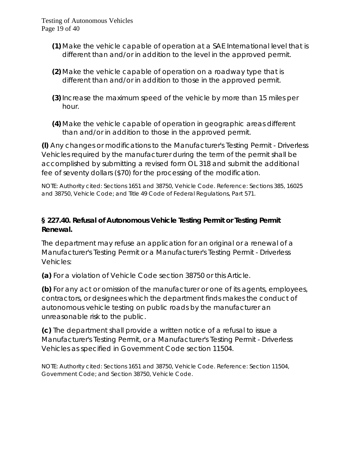- **(1)** Make the vehicle capable of operation at a SAE International level that is different than and/or in addition to the level in the approved permit.
- **(2)** Make the vehicle capable of operation on a roadway type that is different than and/or in addition to those in the approved permit.
- **(3)**Increase the maximum speed of the vehicle by more than 15 miles per hour.
- **(4)** Make the vehicle capable of operation in geographic areas different than and/or in addition to those in the approved permit.

**(***l***)** Any changes or modifications to the Manufacturer's Testing Permit - Driverless Vehicles required by the manufacturer during the term of the permit shall be accomplished by submitting a revised form OL 318 and submit the additional fee of seventy dollars (\$70) for the processing of the modification.

NOTE: Authority cited: Sections 1651 and 38750, Vehicle Code. Reference: Sections 385, 16025 and 38750, Vehicle Code; and Title 49 Code of Federal Regulations, Part 571.

## **§ 227.40. Refusal of Autonomous Vehicle Testing Permit or Testing Permit Renewal.**

The department may refuse an application for an original or a renewal of a Manufacturer's Testing Permit or a Manufacturer's Testing Permit - Driverless Vehicles:

**(a)** For a violation of Vehicle Code section 38750 or this Article.

**(b)** For any act or omission of the manufacturer or one of its agents, employees, contractors, or designees which the department finds makes the conduct of autonomous vehicle testing on public roads by the manufacturer an unreasonable risk to the public.

**(c)** The department shall provide a written notice of a refusal to issue a Manufacturer's Testing Permit, or a Manufacturer's Testing Permit - Driverless Vehicles as specified in Government Code section 11504.

NOTE: Authority cited: Sections 1651 and 38750, Vehicle Code. Reference: Section 11504, Government Code; and Section 38750, Vehicle Code.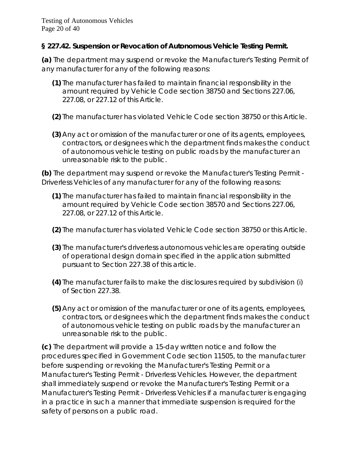#### **§ 227.42. Suspension or Revocation of Autonomous Vehicle Testing Permit.**

**(a)** The department may suspend or revoke the Manufacturer's Testing Permit of any manufacturer for any of the following reasons:

- **(1)** The manufacturer has failed to maintain financial responsibility in the amount required by Vehicle Code section 38750 and Sections 227.06, 227.08, or 227.12 of this Article.
- **(2)** The manufacturer has violated Vehicle Code section 38750 or this Article.
- **(3)** Any act or omission of the manufacturer or one of its agents, employees, contractors, or designees which the department finds makes the conduct of autonomous vehicle testing on public roads by the manufacturer an unreasonable risk to the public.

**(b)** The department may suspend or revoke the Manufacturer's Testing Permit - Driverless Vehicles of any manufacturer for any of the following reasons:

- **(1)** The manufacturer has failed to maintain financial responsibility in the amount required by Vehicle Code section 38570 and Sections 227.06, 227.08, or 227.12 of this Article.
- **(2)** The manufacturer has violated Vehicle Code section 38750 or this Article.
- **(3)** The manufacturer's driverless autonomous vehicles are operating outside of operational design domain specified in the application submitted pursuant to Section 227.38 of this article.
- **(4)** The manufacturer fails to make the disclosures required by subdivision (i) of Section 227.38.
- **(5)** Any act or omission of the manufacturer or one of its agents, employees, contractors, or designees which the department finds makes the conduct of autonomous vehicle testing on public roads by the manufacturer an unreasonable risk to the public.

**(c)** The department will provide a 15-day written notice and follow the procedures specified in Government Code section 11505, to the manufacturer before suspending or revoking the Manufacturer's Testing Permit or a Manufacturer's Testing Permit - Driverless Vehicles. However, the department shall immediately suspend or revoke the Manufacturer's Testing Permit or a Manufacturer's Testing Permit - Driverless Vehicles if a manufacturer is engaging in a practice in such a manner that immediate suspension is required for the safety of persons on a public road.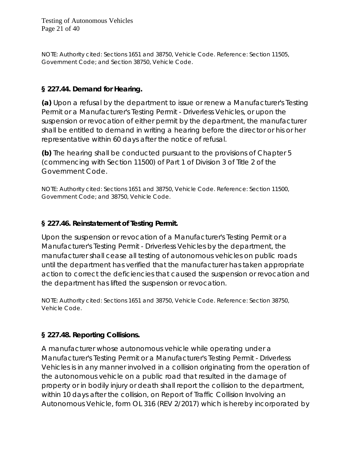NOTE: Authority cited: Sections 1651 and 38750, Vehicle Code. Reference: Section 11505, Government Code; and Section 38750, Vehicle Code.

## **§ 227.44. Demand for Hearing.**

**(a)** Upon a refusal by the department to issue or renew a Manufacturer's Testing Permit or a Manufacturer's Testing Permit - Driverless Vehicles, or upon the suspension or revocation of either permit by the department, the manufacturer shall be entitled to demand in writing a hearing before the director or his or her representative within 60 days after the notice of refusal.

**(b)** The hearing shall be conducted pursuant to the provisions of Chapter 5 (commencing with Section 11500) of Part 1 of Division 3 of Title 2 of the Government Code.

NOTE: Authority cited: Sections 1651 and 38750, Vehicle Code. Reference: Section 11500, Government Code; and 38750, Vehicle Code.

#### **§ 227.46. Reinstatement of Testing Permit.**

Upon the suspension or revocation of a Manufacturer's Testing Permit or a Manufacturer's Testing Permit - Driverless Vehicles by the department, the manufacturer shall cease all testing of autonomous vehicles on public roads until the department has verified that the manufacturer has taken appropriate action to correct the deficiencies that caused the suspension or revocation and the department has lifted the suspension or revocation.

NOTE: Authority cited: Sections 1651 and 38750, Vehicle Code. Reference: Section 38750, Vehicle Code.

## **§ 227.48. Reporting Collisions.**

A manufacturer whose autonomous vehicle while operating under a Manufacturer's Testing Permit or a Manufacturer's Testing Permit - Driverless Vehicles is in any manner involved in a collision originating from the operation of the autonomous vehicle on a public road that resulted in the damage of property or in bodily injury or death shall report the collision to the department, within 10 days after the collision, on Report of Traffic Collision Involving an Autonomous Vehicle, form OL 316 (REV 2/2017) which is hereby incorporated by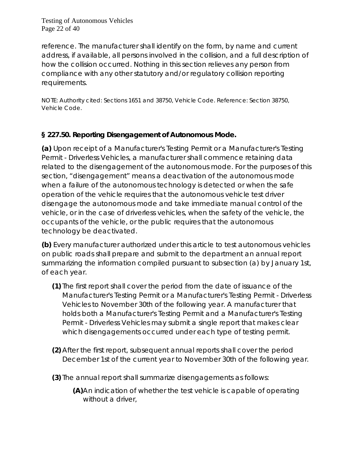Testing of Autonomous Vehicles Page 22 of 40

reference. The manufacturer shall identify on the form, by name and current address, if available, all persons involved in the collision, and a full description of how the collision occurred. Nothing in this section relieves any person from compliance with any other statutory and/or regulatory collision reporting requirements.

NOTE: Authority cited: Sections 1651 and 38750, Vehicle Code. Reference: Section 38750, Vehicle Code.

## **§ 227.50. Reporting Disengagement of Autonomous Mode.**

**(a)** Upon receipt of a Manufacturer's Testing Permit or a Manufacturer's Testing Permit - Driverless Vehicles, a manufacturer shall commence retaining data related to the disengagement of the autonomous mode. For the purposes of this section, "disengagement" means a deactivation of the autonomous mode when a failure of the autonomous technology is detected or when the safe operation of the vehicle requires that the autonomous vehicle test driver disengage the autonomous mode and take immediate manual control of the vehicle, or in the case of driverless vehicles, when the safety of the vehicle, the occupants of the vehicle, or the public requires that the autonomous technology be deactivated.

**(b)** Every manufacturer authorized under this article to test autonomous vehicles on public roads shall prepare and submit to the department an annual report summarizing the information compiled pursuant to subsection (a) by January 1st, of each year.

- **(1)** The first report shall cover the period from the date of issuance of the Manufacturer's Testing Permit or a Manufacturer's Testing Permit - Driverless Vehicles to November 30th of the following year. A manufacturer that holds both a Manufacturer's Testing Permit and a Manufacturer's Testing Permit - Driverless Vehicles may submit a single report that makes clear which disengagements occurred under each type of testing permit.
- **(2)** After the first report, subsequent annual reports shall cover the period December 1st of the current year to November 30th of the following year.
- **(3)** The annual report shall summarize disengagements as follows:
	- **(A)**An indication of whether the test vehicle is capable of operating without a driver,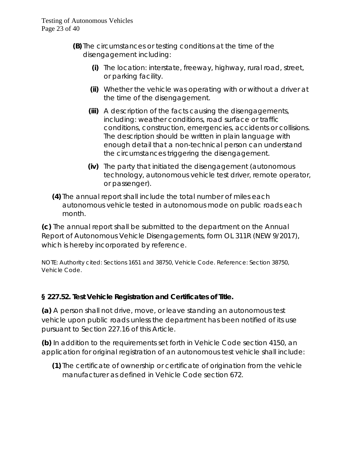- **(B)** The circumstances or testing conditions at the time of the disengagement including:
	- **(i)** The location: interstate, freeway, highway, rural road, street, or parking facility.
	- **(ii)** Whether the vehicle was operating with or without a driver at the time of the disengagement.
	- **(iii)** A description of the facts causing the disengagements, including: weather conditions, road surface or traffic conditions, construction, emergencies, accidents or collisions. The description should be written in plain language with enough detail that a non-technical person can understand the circumstances triggering the disengagement.
	- **(iv)** The party that initiated the disengagement (autonomous technology, autonomous vehicle test driver, remote operator, or passenger).
- **(4)** The annual report shall include the total number of miles each autonomous vehicle tested in autonomous mode on public roads each month.

**(c)** The annual report shall be submitted to the department on the Annual Report of Autonomous Vehicle Disengagements, form OL 311R (NEW 9/2017), which is hereby incorporated by reference.

NOTE: Authority cited: Sections 1651 and 38750, Vehicle Code. Reference: Section 38750, Vehicle Code.

## **§ 227.52. Test Vehicle Registration and Certificates of Title.**

**(a)** A person shall not drive, move, or leave standing an autonomous test vehicle upon public roads unless the department has been notified of its use pursuant to Section 227.16 of this Article.

**(b)** In addition to the requirements set forth in Vehicle Code section 4150, an application for original registration of an autonomous test vehicle shall include:

**(1)** The certificate of ownership or certificate of origination from the vehicle manufacturer as defined in Vehicle Code section 672.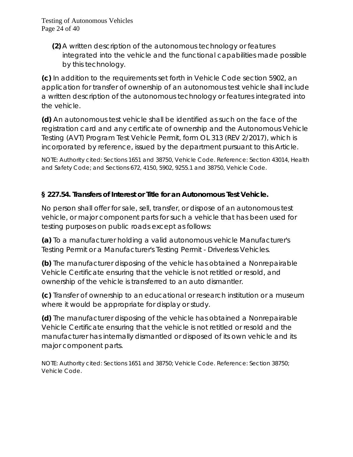Testing of Autonomous Vehicles Page 24 of 40

> **(2)** A written description of the autonomous technology or features integrated into the vehicle and the functional capabilities made possible by this technology.

**(c)** In addition to the requirements set forth in Vehicle Code section 5902, an application for transfer of ownership of an autonomous test vehicle shall include a written description of the autonomous technology or features integrated into the vehicle.

**(d)** An autonomous test vehicle shall be identified as such on the face of the registration card and any certificate of ownership and the Autonomous Vehicle Testing (AVT) Program Test Vehicle Permit, form OL 313 (REV 2/2017), which is incorporated by reference, issued by the department pursuant to this Article.

NOTE: Authority cited: Sections 1651 and 38750, Vehicle Code. Reference: Section 43014, Health and Safety Code; and Sections 672, 4150, 5902, 9255.1 and 38750, Vehicle Code.

## **§ 227.54. Transfers of Interest or Title for an Autonomous Test Vehicle.**

No person shall offer for sale, sell, transfer, or dispose of an autonomous test vehicle, or major component parts for such a vehicle that has been used for testing purposes on public roads except as follows:

**(a)** To a manufacturer holding a valid autonomous vehicle Manufacturer's Testing Permit or a Manufacturer's Testing Permit - Driverless Vehicles.

**(b)** The manufacturer disposing of the vehicle has obtained a Nonrepairable Vehicle Certificate ensuring that the vehicle is not retitled or resold, and ownership of the vehicle is transferred to an auto dismantler.

**(c)** Transfer of ownership to an educational or research institution or a museum where it would be appropriate for display or study.

**(d)** The manufacturer disposing of the vehicle has obtained a Nonrepairable Vehicle Certificate ensuring that the vehicle is not retitled or resold and the manufacturer has internally dismantled or disposed of its own vehicle and its major component parts.

NOTE: Authority cited: Sections 1651 and 38750; Vehicle Code. Reference: Section 38750; Vehicle Code.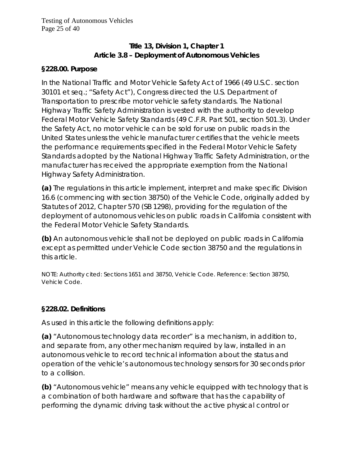# **Title 13, Division 1, Chapter 1 Article 3.8 – Deployment of Autonomous Vehicles**

#### **§228.00. Purpose**

In the National Traffic and Motor Vehicle Safety Act of 1966 (49 U.S.C. section 30101 et seq.; "Safety Act"), Congress directed the U.S. Department of Transportation to prescribe motor vehicle safety standards. The National Highway Traffic Safety Administration is vested with the authority to develop Federal Motor Vehicle Safety Standards (49 C.F.R. Part 501, section 501.3). Under the Safety Act, no motor vehicle can be sold for use on public roads in the United States unless the vehicle manufacturer certifies that the vehicle meets the performance requirements specified in the Federal Motor Vehicle Safety Standards adopted by the National Highway Traffic Safety Administration, or the manufacturer has received the appropriate exemption from the National Highway Safety Administration.

**(a)** The regulations in this article implement, interpret and make specific Division 16.6 (commencing with section 38750) of the Vehicle Code, originally added by Statutes of 2012, Chapter 570 (SB 1298), providing for the regulation of the deployment of autonomous vehicles on public roads in California consistent with the Federal Motor Vehicle Safety Standards.

**(b)** An autonomous vehicle shall not be deployed on public roads in California except as permitted under Vehicle Code section 38750 and the regulations in this article.

NOTE: Authority cited: Sections 1651 and 38750, Vehicle Code. Reference: Section 38750, Vehicle Code.

#### **§228.02. Definitions**

As used in this article the following definitions apply:

**(a)** "Autonomous technology data recorder" is a mechanism, in addition to, and separate from, any other mechanism required by law, installed in an autonomous vehicle to record technical information about the status and operation of the vehicle's autonomous technology sensors for 30 seconds prior to a collision.

**(b)** "Autonomous vehicle" means any vehicle equipped with technology that is a combination of both hardware and software that has the capability of performing the dynamic driving task without the active physical control or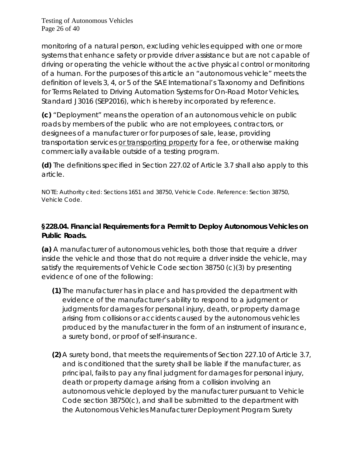Testing of Autonomous Vehicles Page 26 of 40

monitoring of a natural person, excluding vehicles equipped with one or more systems that enhance safety or provide driver assistance but are not capable of driving or operating the vehicle without the active physical control or monitoring of a human. For the purposes of this article an "autonomous vehicle" meets the definition of levels 3, 4, or 5 of the SAE International's *Taxonomy and Definitions for Terms Related to Driving Automation Systems for On-Road Motor Vehicles, Standard J3016 (SEP2016),* which is hereby incorporated by reference.

**(c)** "Deployment" means the operation of an autonomous vehicle on public roads by members of the public who are not employees, contractors, or designees of a manufacturer or for purposes of sale, lease, providing transportation services or transporting property for a fee, or otherwise making commercially available outside of a testing program.

**(d)** The definitions specified in Section 227.02 of Article 3.7 shall also apply to this article.

NOTE: Authority cited: Sections 1651 and 38750, Vehicle Code. Reference: Section 38750, Vehicle Code.

#### **§228.04. Financial Requirements for a Permit to Deploy Autonomous Vehicles on Public Roads.**

**(a)** A manufacturer of autonomous vehicles, both those that require a driver inside the vehicle and those that do not require a driver inside the vehicle, may satisfy the requirements of Vehicle Code section 38750 (c)(3) by presenting evidence of one of the following:

- **(1)** The manufacturer has in place and has provided the department with evidence of the manufacturer's ability to respond to a judgment or judgments for damages for personal injury, death, or property damage arising from collisions or accidents caused by the autonomous vehicles produced by the manufacturer in the form of an instrument of insurance, a surety bond, or proof of self-insurance.
- **(2)** A surety bond, that meets the requirements of Section 227.10 of Article 3.7, and is conditioned that the surety shall be liable if the manufacturer, as principal, fails to pay any final judgment for damages for personal injury, death or property damage arising from a collision involving an autonomous vehicle deployed by the manufacturer pursuant to Vehicle Code section 38750(c), and shall be submitted to the department with the Autonomous Vehicles Manufacturer Deployment Program Surety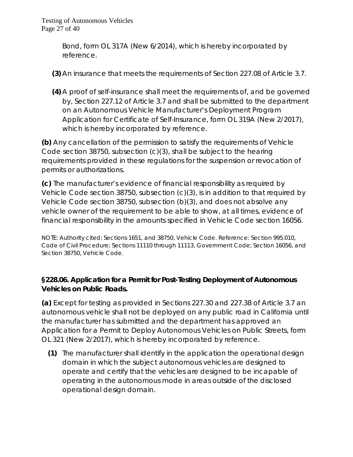Bond, form OL 317A (New 6/2014), which is hereby incorporated by reference.

- **(3)** An insurance that meets the requirements of Section 227.08 of Article 3.7.
- **(4)** A proof of self-insurance shall meet the requirements of, and be governed by, Section 227.12 of Article 3.7 and shall be submitted to the department on an Autonomous Vehicle Manufacturer's Deployment Program Application for Certificate of Self-Insurance, form OL 319A (New 2/2017), which is hereby incorporated by reference.

**(b)** Any cancellation of the permission to satisfy the requirements of Vehicle Code section 38750, subsection (c)(3), shall be subject to the hearing requirements provided in these regulations for the suspension or revocation of permits or authorizations.

**(c)** The manufacturer's evidence of financial responsibility as required by Vehicle Code section 38750, subsection (c)(3), is in addition to that required by Vehicle Code section 38750, subsection (b)(3), and does not absolve any vehicle owner of the requirement to be able to show, at all times, evidence of financial responsibility in the amounts specified in Vehicle Code section 16056.

NOTE: Authority cited: Sections 1651, and 38750, Vehicle Code. Reference: Section 995.010, Code of Civil Procedure; Sections 11110 through 11113, Government Code; Section 16056, and Section 38750, Vehicle Code.

## **§228.06. Application for a Permit for Post-Testing Deployment of Autonomous Vehicles on Public Roads.**

**(a)** Except for testing as provided in Sections 227.30 and 227.38 of Article 3.7 an autonomous vehicle shall not be deployed on any public road in California until the manufacturer has submitted and the department has approved an Application for a Permit to Deploy Autonomous Vehicles on Public Streets, form OL 321 (New 2/2017), which is hereby incorporated by reference.

**(1)** The manufacturer shall identify in the application the operational design domain in which the subject autonomous vehicles are designed to operate and certify that the vehicles are designed to be incapable of operating in the autonomous mode in areas outside of the disclosed operational design domain.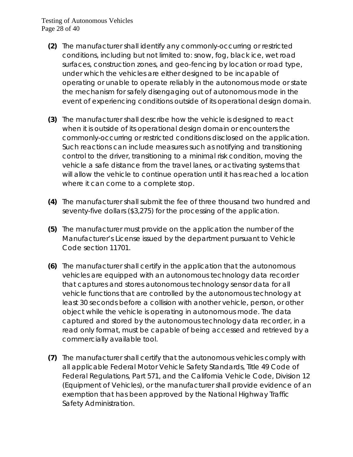#### Testing of Autonomous Vehicles Page 28 of 40

- **(2)** The manufacturer shall identify any commonly-occurring or restricted conditions, including but not limited to: snow, fog, black ice, wet road surfaces, construction zones, and geo-fencing by location or road type, under which the vehicles are either designed to be incapable of operating or unable to operate reliably in the autonomous mode or state the mechanism for safely disengaging out of autonomous mode in the event of experiencing conditions outside of its operational design domain.
- **(3)** The manufacturer shall describe how the vehicle is designed to react when it is outside of its operational design domain or encounters the commonly-occurring or restricted conditions disclosed on the application. Such reactions can include measures such as notifying and transitioning control to the driver, transitioning to a minimal risk condition, moving the vehicle a safe distance from the travel lanes, or activating systems that will allow the vehicle to continue operation until it has reached a location where it can come to a complete stop.
- **(4)** The manufacturer shall submit the fee of three thousand two hundred and seventy-five dollars (\$3,275) for the processing of the application.
- **(5)** The manufacturer must provide on the application the number of the Manufacturer's License issued by the department pursuant to Vehicle Code section 11701.
- **(6)** The manufacturer shall certify in the application that the autonomous vehicles are equipped with an autonomous technology data recorder that captures and stores autonomous technology sensor data for all vehicle functions that are controlled by the autonomous technology at least 30 seconds before a collision with another vehicle, person, or other object while the vehicle is operating in autonomous mode. The data captured and stored by the autonomous technology data recorder, in a read only format, must be capable of being accessed and retrieved by a commercially available tool.
- **(7)** The manufacturer shall certify that the autonomous vehicles comply with all applicable Federal Motor Vehicle Safety Standards, Title 49 Code of Federal Regulations, Part 571, and the California Vehicle Code, Division 12 (Equipment of Vehicles), or the manufacturer shall provide evidence of an exemption that has been approved by the National Highway Traffic Safety Administration.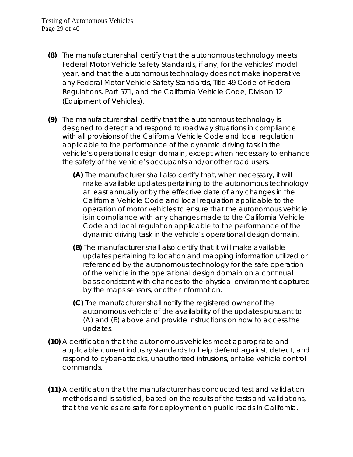- **(8)** The manufacturer shall certify that the autonomous technology meets Federal Motor Vehicle Safety Standards, if any, for the vehicles' model year, and that the autonomous technology does not make inoperative any Federal Motor Vehicle Safety Standards, Title 49 Code of Federal Regulations, Part 571, and the California Vehicle Code, Division 12 (Equipment of Vehicles).
- **(9)** The manufacturer shall certify that the autonomous technology is designed to detect and respond to roadway situations in compliance with all provisions of the California Vehicle Code and local regulation applicable to the performance of the dynamic driving task in the vehicle's operational design domain, except when necessary to enhance the safety of the vehicle's occupants and/or other road users.
	- **(A)** The manufacturer shall also certify that, when necessary, it will make available updates pertaining to the autonomous technology at least annually or by the effective date of any changes in the California Vehicle Code and local regulation applicable to the operation of motor vehicles to ensure that the autonomous vehicle is in compliance with any changes made to the California Vehicle Code and local regulation applicable to the performance of the dynamic driving task in the vehicle's operational design domain.
	- **(B)** The manufacturer shall also certify that it will make available updates pertaining to location and mapping information utilized or referenced by the autonomous technology for the safe operation of the vehicle in the operational design domain on a continual basis consistent with changes to the physical environment captured by the maps sensors, or other information.
	- **(C)** The manufacturer shall notify the registered owner of the autonomous vehicle of the availability of the updates pursuant to (A) and (B) above and provide instructions on how to access the updates.
- **(10)** A certification that the autonomous vehicles meet appropriate and applicable current industry standards to help defend against, detect, and respond to cyber-attacks, unauthorized intrusions, or false vehicle control commands.
- **(11)** A certification that the manufacturer has conducted test and validation methods and is satisfied, based on the results of the tests and validations, that the vehicles are safe for deployment on public roads in California.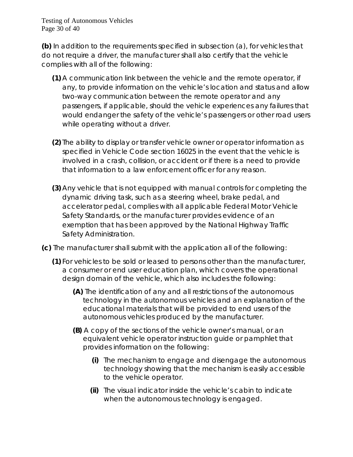Testing of Autonomous Vehicles Page 30 of 40

**(b)** In addition to the requirements specified in subsection (a), for vehicles that do not require a driver, the manufacturer shall also certify that the vehicle complies with all of the following:

- **(1)** A communication link between the vehicle and the remote operator, if any, to provide information on the vehicle's location and status and allow two-way communication between the remote operator and any passengers, if applicable, should the vehicle experiences any failures that would endanger the safety of the vehicle's passengers or other road users while operating without a driver.
- **(2)** The ability to display or transfer vehicle owner or operator information as specified in Vehicle Code section 16025 in the event that the vehicle is involved in a crash, collision, or accident or if there is a need to provide that information to a law enforcement officer for any reason.
- **(3)** Any vehicle that is not equipped with manual controls for completing the dynamic driving task, such as a steering wheel, brake pedal, and accelerator pedal, complies with all applicable Federal Motor Vehicle Safety Standards, or the manufacturer provides evidence of an exemption that has been approved by the National Highway Traffic Safety Administration.
- **(c)** The manufacturer shall submit with the application all of the following:
	- **(1)** For vehicles to be sold or leased to persons other than the manufacturer, a consumer or end user education plan, which covers the operational design domain of the vehicle, which also includes the following:
		- **(A)** The identification of any and all restrictions of the autonomous technology in the autonomous vehicles and an explanation of the educational materials that will be provided to end users of the autonomous vehicles produced by the manufacturer.
		- **(B)** A copy of the sections of the vehicle owner's manual, or an equivalent vehicle operator instruction guide or pamphlet that provides information on the following:
			- **(i)** The mechanism to engage and disengage the autonomous technology showing that the mechanism is easily accessible to the vehicle operator.
			- **(ii)** The visual indicator inside the vehicle's cabin to indicate when the autonomous technology is engaged.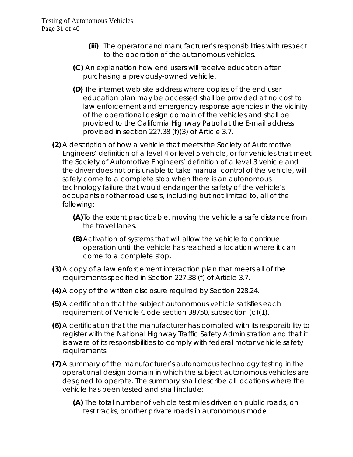- **(iii)** The operator and manufacturer's responsibilities with respect to the operation of the autonomous vehicles.
- **(C)** An explanation how end users will receive education after purchasing a previously-owned vehicle.
- **(D)** The internet web site address where copies of the end user education plan may be accessed shall be provided at no cost to law enforcement and emergency response agencies in the vicinity of the operational design domain of the vehicles and shall be provided to the California Highway Patrol at the E-mail address provided in section 227.38 (f)(3) of Article 3.7.
- **(2)** A description of how a vehicle that meets the Society of Automotive Engineers' definition of a level 4 or level 5 vehicle, or for vehicles that meet the Society of Automotive Engineers' definition of a level 3 vehicle and the driver does not or is unable to take manual control of the vehicle, will safely come to a complete stop when there is an autonomous technology failure that would endanger the safety of the vehicle's occupants or other road users, including but not limited to, all of the following:
	- **(A)**To the extent practicable, moving the vehicle a safe distance from the travel lanes.
	- **(B)** Activation of systems that will allow the vehicle to continue operation until the vehicle has reached a location where it can come to a complete stop.
- **(3)** A copy of a law enforcement interaction plan that meets all of the requirements specified in Section 227.38 (f) of Article 3.7.
- **(4)** A copy of the written disclosure required by Section 228.24.
- **(5)** A certification that the subject autonomous vehicle satisfies each requirement of Vehicle Code section 38750, subsection (c)(1).
- **(6)** A certification that the manufacturer has complied with its responsibility to register with the National Highway Traffic Safety Administration and that it is aware of its responsibilities to comply with federal motor vehicle safety requirements.
- **(7)** A summary of the manufacturer's autonomous technology testing in the operational design domain in which the subject autonomous vehicles are designed to operate. The summary shall describe all locations where the vehicle has been tested and shall include:
	- **(A)** The total number of vehicle test miles driven on public roads, on test tracks, or other private roads in autonomous mode.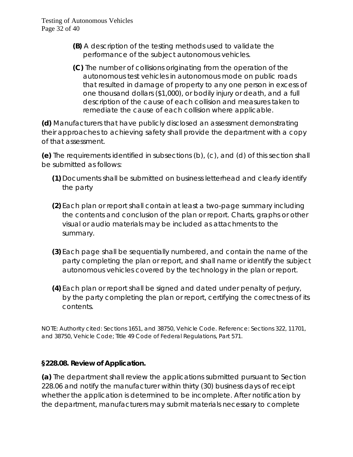- **(B)** A description of the testing methods used to validate the performance of the subject autonomous vehicles.
- **(C)** The number of collisions originating from the operation of the autonomous test vehicles in autonomous mode on public roads that resulted in damage of property to any one person in excess of one thousand dollars (\$1,000), or bodily injury or death, and a full description of the cause of each collision and measures taken to remediate the cause of each collision where applicable.

**(d)** Manufacturers that have publicly disclosed an assessment demonstrating their approaches to achieving safety shall provide the department with a copy of that assessment.

**(e)** The requirements identified in subsections (b), (c), and (d) of this section shall be submitted as follows:

- **(1)** Documents shall be submitted on business letterhead and clearly identify the party
- **(2)** Each plan or report shall contain at least a two-page summary including the contents and conclusion of the plan or report. Charts, graphs or other visual or audio materials may be included as attachments to the summary.
- **(3)** Each page shall be sequentially numbered, and contain the name of the party completing the plan or report, and shall name or identify the subject autonomous vehicles covered by the technology in the plan or report.
- **(4)** Each plan or report shall be signed and dated under penalty of perjury, by the party completing the plan or report, certifying the correctness of its contents.

NOTE: Authority cited: Sections 1651, and 38750, Vehicle Code. Reference: Sections 322, 11701, and 38750, Vehicle Code; Title 49 Code of Federal Regulations, Part 571.

## **§228.08. Review of Application.**

**(a)** The department shall review the applications submitted pursuant to Section 228.06 and notify the manufacturer within thirty (30) business days of receipt whether the application is determined to be incomplete. After notification by the department, manufacturers may submit materials necessary to complete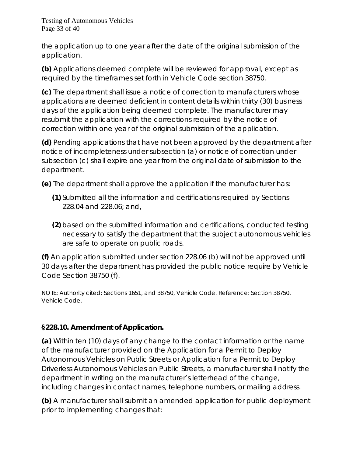Testing of Autonomous Vehicles Page 33 of 40

the application up to one year after the date of the original submission of the application.

**(b)** Applications deemed complete will be reviewed for approval, except as required by the timeframes set forth in Vehicle Code section 38750.

**(c)** The department shall issue a notice of correction to manufacturers whose applications are deemed deficient in content details within thirty (30) business days of the application being deemed complete. The manufacturer may resubmit the application with the corrections required by the notice of correction within one year of the original submission of the application.

**(d)** Pending applications that have not been approved by the department after notice of incompleteness under subsection (a) or notice of correction under subsection (c) shall expire one year from the original date of submission to the department.

**(e)** The department shall approve the application if the manufacturer has:

- **(1)** Submitted all the information and certifications required by Sections 228.04 and 228.06; and,
- **(2)** based on the submitted information and certifications, conducted testing necessary to satisfy the department that the subject autonomous vehicles are safe to operate on public roads.

**(f)** An application submitted under section 228.06 (b) will not be approved until 30 days after the department has provided the public notice require by Vehicle Code Section 38750 (f).

NOTE: Authority cited: Sections 1651, and 38750, Vehicle Code. Reference: Section 38750, Vehicle Code.

## **§228.10. Amendment of Application.**

**(a)** Within ten (10) days of any change to the contact information or the name of the manufacturer provided on the Application for a Permit to Deploy Autonomous Vehicles on Public Streets or Application for a Permit to Deploy Driverless Autonomous Vehicles on Public Streets, a manufacturer shall notify the department in writing on the manufacturer's letterhead of the change, including changes in contact names, telephone numbers, or mailing address.

**(b)** A manufacturer shall submit an amended application for public deployment prior to implementing changes that: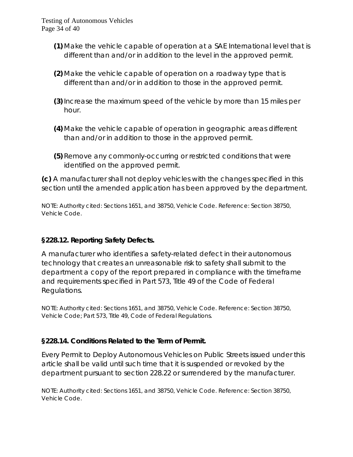- **(1)** Make the vehicle capable of operation at a SAE International level that is different than and/or in addition to the level in the approved permit.
- **(2)** Make the vehicle capable of operation on a roadway type that is different than and/or in addition to those in the approved permit.
- **(3)**Increase the maximum speed of the vehicle by more than 15 miles per hour.
- **(4)** Make the vehicle capable of operation in geographic areas different than and/or in addition to those in the approved permit.
- **(5)** Remove any commonly-occurring or restricted conditions that were identified on the approved permit.

**(c)** A manufacturer shall not deploy vehicles with the changes specified in this section until the amended application has been approved by the department.

NOTE: Authority cited: Sections 1651, and 38750, Vehicle Code. Reference: Section 38750, Vehicle Code.

## **§228.12. Reporting Safety Defects.**

A manufacturer who identifies a safety-related defect in their autonomous technology that creates an unreasonable risk to safety shall submit to the department a copy of the report prepared in compliance with the timeframe and requirements specified in Part 573, Title 49 of the Code of Federal Regulations.

NOTE: Authority cited: Sections 1651, and 38750, Vehicle Code. Reference: Section 38750, Vehicle Code; Part 573, Title 49, Code of Federal Regulations.

## **§228.14. Conditions Related to the Term of Permit.**

Every Permit to Deploy Autonomous Vehicles on Public Streets issued under this article shall be valid until such time that it is suspended or revoked by the department pursuant to section 228.22 or surrendered by the manufacturer.

NOTE: Authority cited: Sections 1651, and 38750, Vehicle Code. Reference: Section 38750, Vehicle Code.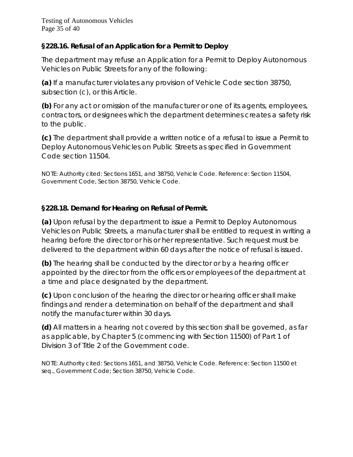## **§228.16. Refusal of an Application for a Permit to Deploy**

The department may refuse an Application for a Permit to Deploy Autonomous Vehicles on Public Streets for any of the following:

**(a)** If a manufacturer violates any provision of Vehicle Code section 38750, subsection (c), or this Article.

**(b)** For any act or omission of the manufacturer or one of its agents, employees, contractors, or designees which the department determines creates a safety risk to the public.

**(c)** The department shall provide a written notice of a refusal to issue a Permit to Deploy Autonomous Vehicles on Public Streets as specified in Government Code section 11504.

NOTE: Authority cited: Sections 1651, and 38750, Vehicle Code. Reference: Section 11504, Government Code, Section 38750, Vehicle Code.

# **§228.18. Demand for Hearing on Refusal of Permit.**

**(a)** Upon refusal by the department to issue a Permit to Deploy Autonomous Vehicles on Public Streets, a manufacturer shall be entitled to request in writing a hearing before the director or his or her representative. Such request must be delivered to the department within 60 days after the notice of refusal is issued.

**(b)** The hearing shall be conducted by the director or by a hearing officer appointed by the director from the officers or employees of the department at a time and place designated by the department.

**(c)** Upon conclusion of the hearing the director or hearing officer shall make findings and render a determination on behalf of the department and shall notify the manufacturer within 30 days.

**(d)** All matters in a hearing not covered by this section shall be governed, as far as applicable, by Chapter 5 (commencing with Section 11500) of Part 1 of Division 3 of Title 2 of the Government code.

NOTE: Authority cited: Sections 1651, and 38750, Vehicle Code. Reference: Section 11500 et seq., Government Code; Section 38750, Vehicle Code.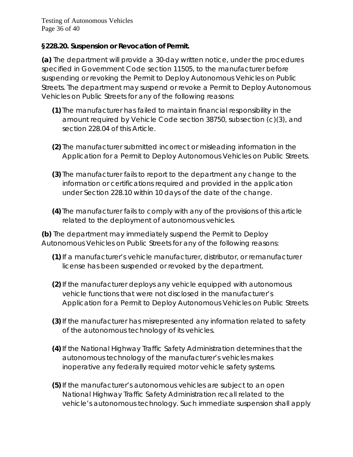Testing of Autonomous Vehicles Page 36 of 40

#### **§228.20. Suspension or Revocation of Permit.**

**(a)** The department will provide a 30-day written notice, under the procedures specified in Government Code section 11505, to the manufacturer before suspending or revoking the Permit to Deploy Autonomous Vehicles on Public Streets. The department may suspend or revoke a Permit to Deploy Autonomous Vehicles on Public Streets for any of the following reasons:

- **(1)** The manufacturer has failed to maintain financial responsibility in the amount required by Vehicle Code section 38750, subsection (c)(3), and section 228.04 of this Article.
- **(2)** The manufacturer submitted incorrect or misleading information in the Application for a Permit to Deploy Autonomous Vehicles on Public Streets.
- **(3)** The manufacturer fails to report to the department any change to the information or certifications required and provided in the application under Section 228.10 within 10 days of the date of the change.
- **(4)** The manufacturer fails to comply with any of the provisions of this article related to the deployment of autonomous vehicles.

**(b)** The department may immediately suspend the Permit to Deploy Autonomous Vehicles on Public Streets for any of the following reasons:

- **(1)**If a manufacturer's vehicle manufacturer, distributor, or remanufacturer license has been suspended or revoked by the department.
- **(2)**If the manufacturer deploys any vehicle equipped with autonomous vehicle functions that were not disclosed in the manufacturer's Application for a Permit to Deploy Autonomous Vehicles on Public Streets.
- **(3)**If the manufacturer has misrepresented any information related to safety of the autonomous technology of its vehicles.
- **(4)**If the National Highway Traffic Safety Administration determines that the autonomous technology of the manufacturer's vehicles makes inoperative any federally required motor vehicle safety systems.
- **(5)**If the manufacturer's autonomous vehicles are subject to an open National Highway Traffic Safety Administration recall related to the vehicle's autonomous technology. Such immediate suspension shall apply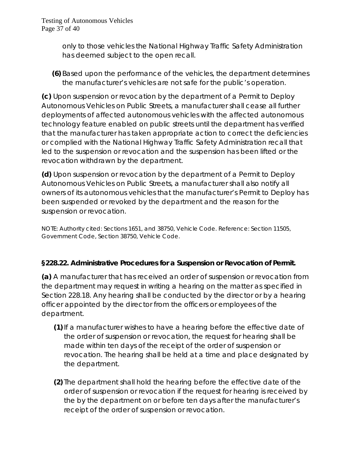Testing of Autonomous Vehicles Page 37 of 40

> only to those vehicles the National Highway Traffic Safety Administration has deemed subject to the open recall.

**(6)** Based upon the performance of the vehicles, the department determines the manufacturer's vehicles are not safe for the public's operation.

**(c)** Upon suspension or revocation by the department of a Permit to Deploy Autonomous Vehicles on Public Streets, a manufacturer shall cease all further deployments of affected autonomous vehicles with the affected autonomous technology feature enabled on public streets until the department has verified that the manufacturer has taken appropriate action to correct the deficiencies or complied with the National Highway Traffic Safety Administration recall that led to the suspension or revocation and the suspension has been lifted or the revocation withdrawn by the department.

**(d)** Upon suspension or revocation by the department of a Permit to Deploy Autonomous Vehicles on Public Streets, a manufacturer shall also notify all owners of its autonomous vehicles that the manufacturer's Permit to Deploy has been suspended or revoked by the department and the reason for the suspension or revocation.

NOTE: Authority cited: Sections 1651, and 38750, Vehicle Code. Reference: Section 11505, Government Code, Section 38750, Vehicle Code.

#### **§228.22. Administrative Procedures for a Suspension or Revocation of Permit.**

**(a)** A manufacturer that has received an order of suspension or revocation from the department may request in writing a hearing on the matter as specified in Section 228.18. Any hearing shall be conducted by the director or by a hearing officer appointed by the director from the officers or employees of the department.

- **(1)**If a manufacturer wishes to have a hearing before the effective date of the order of suspension or revocation, the request for hearing shall be made within ten days of the receipt of the order of suspension or revocation. The hearing shall be held at a time and place designated by the department.
- **(2)** The department shall hold the hearing before the effective date of the order of suspension or revocation if the request for hearing is received by the by the department on or before ten days after the manufacturer's receipt of the order of suspension or revocation.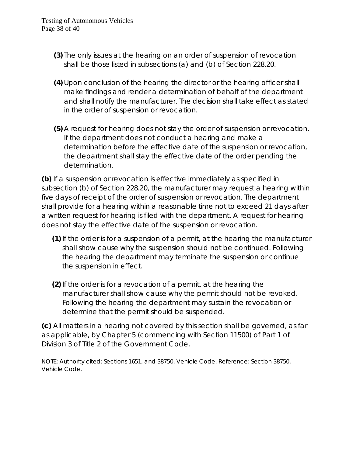- **(3)** The only issues at the hearing on an order of suspension of revocation shall be those listed in subsections (a) and (b) of Section 228.20.
- **(4)** Upon conclusion of the hearing the director or the hearing officer shall make findings and render a determination of behalf of the department and shall notify the manufacturer. The decision shall take effect as stated in the order of suspension or revocation.
- **(5)** A request for hearing does not stay the order of suspension or revocation. If the department does not conduct a hearing and make a determination before the effective date of the suspension or revocation, the department shall stay the effective date of the order pending the determination.

**(b)** If a suspension or revocation is effective immediately as specified in subsection (b) of Section 228.20, the manufacturer may request a hearing within five days of receipt of the order of suspension or revocation. The department shall provide for a hearing within a reasonable time not to exceed 21 days after a written request for hearing is filed with the department. A request for hearing does not stay the effective date of the suspension or revocation.

- **(1)**If the order is for a suspension of a permit, at the hearing the manufacturer shall show cause why the suspension should not be continued. Following the hearing the department may terminate the suspension or continue the suspension in effect.
- **(2)**If the order is for a revocation of a permit, at the hearing the manufacturer shall show cause why the permit should not be revoked. Following the hearing the department may sustain the revocation or determine that the permit should be suspended.

**(c)** All matters in a hearing not covered by this section shall be governed, as far as applicable, by Chapter 5 (commencing with Section 11500) of Part 1 of Division 3 of Title 2 of the Government Code.

NOTE: Authority cited: Sections 1651, and 38750, Vehicle Code. Reference: Section 38750, Vehicle Code.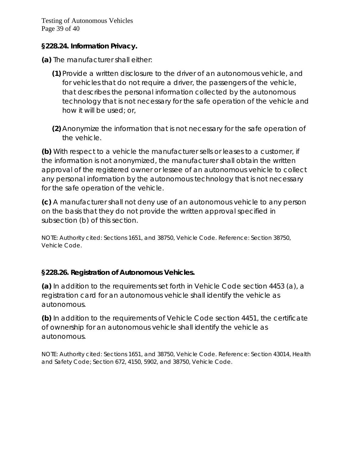Testing of Autonomous Vehicles Page 39 of 40

#### **§228.24. Information Privacy.**

**(a)** The manufacturer shall either:

- **(1)** Provide a written disclosure to the driver of an autonomous vehicle, and for vehicles that do not require a driver, the passengers of the vehicle, that describes the personal information collected by the autonomous technology that is not necessary for the safe operation of the vehicle and how it will be used; or,
- **(2)** Anonymize the information that is not necessary for the safe operation of the vehicle.

**(b)** With respect to a vehicle the manufacturer sells or leases to a customer, if the information is not anonymized, the manufacturer shall obtain the written approval of the registered owner or lessee of an autonomous vehicle to collect any personal information by the autonomous technology that is not necessary for the safe operation of the vehicle.

**(c)** A manufacturer shall not deny use of an autonomous vehicle to any person on the basis that they do not provide the written approval specified in subsection (b) of this section.

NOTE: Authority cited: Sections 1651, and 38750, Vehicle Code. Reference: Section 38750, Vehicle Code.

#### **§228.26. Registration of Autonomous Vehicles.**

**(a)** In addition to the requirements set forth in Vehicle Code section 4453 (a), a registration card for an autonomous vehicle shall identify the vehicle as autonomous.

**(b)** In addition to the requirements of Vehicle Code section 4451, the certificate of ownership for an autonomous vehicle shall identify the vehicle as autonomous.

NOTE: Authority cited: Sections 1651, and 38750, Vehicle Code. Reference: Section 43014, Health and Safety Code; Section 672, 4150, 5902, and 38750, Vehicle Code.